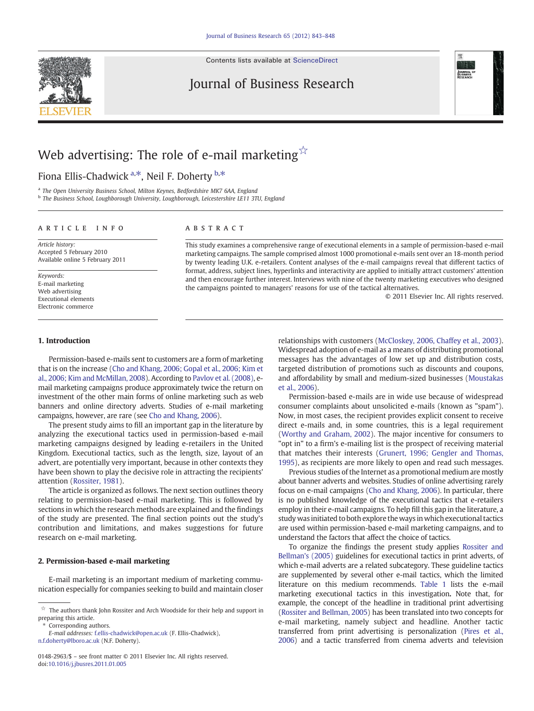Contents lists available at [ScienceDirect](http://www.sciencedirect.com/science/journal/01482963)

## Journal of Business Research



Fiona Ellis-Chadwick <sup>a,\*</sup>, Neil F. Doherty <sup>b,\*</sup>

a The Open University Business School, Milton Keynes, Bedfordshire MK7 6AA, England

<sup>b</sup> The Business School, Loughborough University, Loughborough, Leicestershire LE11 3TU, England

#### article info abstract

Article history: Accepted 5 February 2010 Available online 5 February 2011

Keywords: E-mail marketing Web advertising Executional elements Electronic commerce

This study examines a comprehensive range of executional elements in a sample of permission-based e-mail marketing campaigns. The sample comprised almost 1000 promotional e-mails sent over an 18-month period by twenty leading U.K. e-retailers. Content analyses of the e-mail campaigns reveal that different tactics of format, address, subject lines, hyperlinks and interactivity are applied to initially attract customers' attention and then encourage further interest. Interviews with nine of the twenty marketing executives who designed the campaigns pointed to managers' reasons for use of the tactical alternatives.

© 2011 Elsevier Inc. All rights reserved.

#### 1. Introduction

Permission-based e-mails sent to customers are a form of marketing that is on the increase [\(Cho and Khang, 2006; Gopal et al., 2006; Kim et](#page--1-0) [al., 2006; Kim and McMillan, 2008\)](#page--1-0). According to [Pavlov et al. \(2008\),](#page--1-0) email marketing campaigns produce approximately twice the return on investment of the other main forms of online marketing such as web banners and online directory adverts. Studies of e-mail marketing campaigns, however, are rare (see [Cho and Khang, 2006](#page--1-0)).

The present study aims to fill an important gap in the literature by analyzing the executional tactics used in permission-based e-mail marketing campaigns designed by leading e-retailers in the United Kingdom. Executional tactics, such as the length, size, layout of an advert, are potentially very important, because in other contexts they have been shown to play the decisive role in attracting the recipients' attention ([Rossiter, 1981](#page--1-0)).

The article is organized as follows. The next section outlines theory relating to permission-based e-mail marketing. This is followed by sections in which the research methods are explained and the findings of the study are presented. The final section points out the study's contribution and limitations, and makes suggestions for future research on e-mail marketing.

#### 2. Permission-based e-mail marketing

E-mail marketing is an important medium of marketing communication especially for companies seeking to build and maintain closer

Corresponding authors.

relationships with customers ([McCloskey, 2006, Chaffey et al., 2003](#page--1-0)). Widespread adoption of e-mail as a means of distributing promotional messages has the advantages of low set up and distribution costs, targeted distribution of promotions such as discounts and coupons, and affordability by small and medium-sized businesses ([Moustakas](#page--1-0) [et al., 2006\)](#page--1-0).

Permission-based e-mails are in wide use because of widespread consumer complaints about unsolicited e-mails (known as "spam"). Now, in most cases, the recipient provides explicit consent to receive direct e-mails and, in some countries, this is a legal requirement [\(Worthy and Graham, 2002](#page--1-0)). The major incentive for consumers to "opt in" to a firm's e-mailing list is the prospect of receiving material that matches their interests ([Grunert, 1996; Gengler and Thomas,](#page--1-0) [1995\)](#page--1-0), as recipients are more likely to open and read such messages.

Previous studies of the Internet as a promotional medium are mostly about banner adverts and websites. Studies of online advertising rarely focus on e-mail campaigns [\(Cho and Khang, 2006\)](#page--1-0). In particular, there is no published knowledge of the executional tactics that e-retailers employ in their e-mail campaigns. To help fill this gap in the literature, a study was initiated to both explore the ways in which executional tactics are used within permission-based e-mail marketing campaigns, and to understand the factors that affect the choice of tactics.

To organize the findings the present study applies [Rossiter and](#page--1-0) [Bellman's \(2005\)](#page--1-0) guidelines for executional tactics in print adverts, of which e-mail adverts are a related subcategory. These guideline tactics are supplemented by several other e-mail tactics, which the limited literature on this medium recommends. [Table 1](#page-1-0) lists the e-mail marketing executional tactics in this investigation. Note that, for example, the concept of the headline in traditional print advertising [\(Rossiter and Bellman, 2005\)](#page--1-0) has been translated into two concepts for e-mail marketing, namely subject and headline. Another tactic transferred from print advertising is personalization ([Pires et al.,](#page--1-0) [2006](#page--1-0)) and a tactic transferred from cinema adverts and television



 $\overleftrightarrow{\mathbf{x}}$  The authors thank John Rossiter and Arch Woodside for their help and support in preparing this article.

E-mail addresses: [f.ellis-chadwick@open.ac.uk](mailto:f.ellis-chadwick@open.ac.uk) (F. Ellis-Chadwick), [n.f.doherty@lboro.ac.uk](mailto:n.f.doherty@lboro.ac.uk) (N.F. Doherty).

<sup>0148-2963/\$</sup> – see front matter © 2011 Elsevier Inc. All rights reserved. doi:[10.1016/j.jbusres.2011.01.005](http://dx.doi.org/10.1016/j.jbusres.2011.01.005)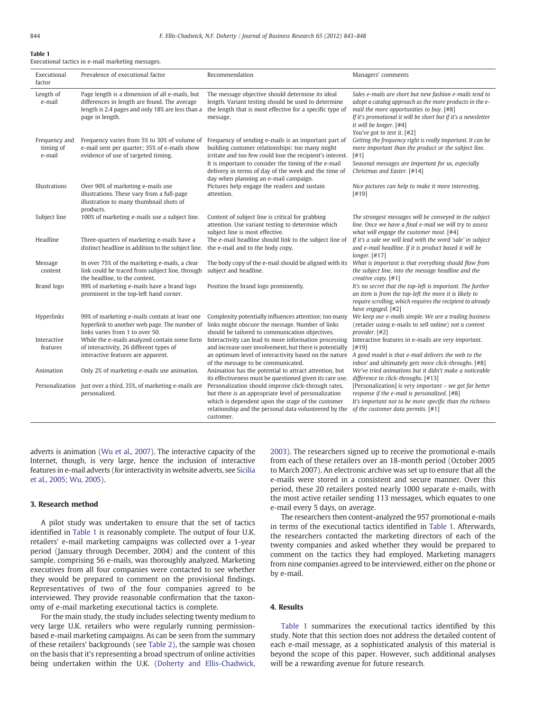### <span id="page-1-0"></span>Table 1

Executional tactics in e-mail marketing messages.

| Executional<br>factor                | Prevalence of executional factor                                                                                                                                      | Recommendation                                                                                                                                                                                                                                                                                                                | Managers' comments                                                                                                                                                                                                                                                                        |
|--------------------------------------|-----------------------------------------------------------------------------------------------------------------------------------------------------------------------|-------------------------------------------------------------------------------------------------------------------------------------------------------------------------------------------------------------------------------------------------------------------------------------------------------------------------------|-------------------------------------------------------------------------------------------------------------------------------------------------------------------------------------------------------------------------------------------------------------------------------------------|
| Length of<br>e-mail                  | Page length is a dimension of all e-mails, but<br>differences in length are found. The average<br>length is 2.4 pages and only 18% are less than a<br>page in length. | The message objective should determine its ideal<br>length. Variant testing should be used to determine<br>the length that is most effective for a specific type of<br>message.                                                                                                                                               | Sales e-mails are short but new fashion e-mails tend to<br>adopt a catalog approach as the more products in the e-<br>mail the more opportunities to buy. [#8]<br>If it's promotional it will be short but if it's a newsletter<br>it will be longer. [#4]<br>You've got to test it. [#2] |
| Frequency and<br>timing of<br>e-mail | Frequency varies from 5% to 30% of volume of<br>e-mail sent per quarter; 35% of e-mails show<br>evidence of use of targeted timing.                                   | Frequency of sending e-mails is an important part of<br>building customer relationships: too many might<br>irritate and too few could lose the recipient's interest.<br>It is important to consider the timing of the e-mail<br>delivery in terms of day of the week and the time of<br>day when planning an e-mail campaign. | Getting the frequency right is really important. It can be<br>more important than the product or the subject line.<br>[#1]<br>Seasonal messages are important for us, especially<br>Christmas and Easter. [#14]                                                                           |
| Illustrations                        | Over 90% of marketing e-mails use<br>illustrations. These vary from a full-page<br>illustration to many thumbnail shots of<br>products.                               | Pictures help engage the readers and sustain<br>attention.                                                                                                                                                                                                                                                                    | Nice pictures can help to make it more interesting.<br>[#19]                                                                                                                                                                                                                              |
| Subject line                         | 100% of marketing e-mails use a subject line.                                                                                                                         | Content of subject line is critical for grabbing<br>attention. Use variant testing to determine which<br>subject line is most effective.                                                                                                                                                                                      | The strongest messages will be conveyed in the subject<br>line. Once we have a final e-mail we will try to assess<br>what will engage the customer most. [#4]                                                                                                                             |
| Headline                             | Three-quarters of marketing e-mails have a<br>distinct headline in addition to the subject line.                                                                      | The e-mail headline should link to the subject line of<br>the e-mail and to the body copy.                                                                                                                                                                                                                                    | If it's a sale we will lead with the word 'sale' in subject<br>and e-mail headline. If it is product based it will be<br>$longer.$ [#17]                                                                                                                                                  |
| Message<br>content                   | In over 75% of the marketing e-mails, a clear<br>link could be traced from subject line, through<br>the headline, to the content.                                     | The body copy of the e-mail should be aligned with its<br>subject and headline.                                                                                                                                                                                                                                               | What is important is that everything should flow from<br>the subject line, into the message headline and the<br>creative copy. $[#1]$                                                                                                                                                     |
| Brand logo                           | 99% of marketing e-mails have a brand logo<br>prominent in the top-left hand corner.                                                                                  | Position the brand logo prominently.                                                                                                                                                                                                                                                                                          | It's no secret that the top-left is important. The further<br>an item is from the top-left the more it is likely to<br>require scrolling, which requires the recipient to already<br>have engaged. [#2]                                                                                   |
| Hyperlinks                           | 99% of marketing e-mails contain at least one<br>hyperlink to another web page. The number of<br>links varies from 1 to over 50.                                      | Complexity potentially influences attention; too many<br>links might obscure the message. Number of links<br>should be tailored to communication objectives.                                                                                                                                                                  | We keep our e-mails simple. We are a trading business<br>(retailer using e-mails to sell online) not a content<br>provider. [#2]                                                                                                                                                          |
| Interactive<br>features              | While the e-mails analyzed contain some form<br>of interactivity, 26 different types of<br>interactive features are apparent.                                         | Interactivity can lead to more information processing<br>and increase user involvement, but there is potentially<br>an optimum level of interactivity based on the nature<br>of the message to be communicated.                                                                                                               | Interactive features in e-mails are very important.<br>[419]<br>A good model is that e-mail delivers the web to the<br>inbox' and ultimately gets more click-throughs. [#8]                                                                                                               |
| Animation                            | Only 2% of marketing e-mails use animation.                                                                                                                           | Animation has the potential to attract attention, but<br>its effectiveness must be questioned given its rare use.                                                                                                                                                                                                             | We've tried animations but it didn't make a noticeable<br>difference to click-throughs. [#13]                                                                                                                                                                                             |
|                                      | Personalization Just over a third, 35%, of marketing e-mails are<br>personalized.                                                                                     | Personalization should improve click-through rates,<br>but there is an appropriate level of personalization<br>which is dependent upon the stage of the customer<br>relationship and the personal data volunteered by the<br>customer.                                                                                        | [Personalization] is very important - we get far better<br>response if the e-mail is personalized. [#8]<br>It's important not to be more specific than the richness<br>of the customer data permits. [#1]                                                                                 |

adverts is animation [\(Wu et al., 2007](#page--1-0)). The interactive capacity of the Internet, though, is very large, hence the inclusion of interactive features in e-mail adverts (for interactivity in website adverts, see [Sicilia](#page--1-0) [et al., 2005; Wu, 2005\)](#page--1-0).

#### 3. Research method

A pilot study was undertaken to ensure that the set of tactics identified in Table 1 is reasonably complete. The output of four U.K. retailers' e-mail marketing campaigns was collected over a 1-year period (January through December, 2004) and the content of this sample, comprising 56 e-mails, was thoroughly analyzed. Marketing executives from all four companies were contacted to see whether they would be prepared to comment on the provisional findings. Representatives of two of the four companies agreed to be interviewed. They provide reasonable confirmation that the taxonomy of e-mail marketing executional tactics is complete.

For the main study, the study includes selecting twenty medium to very large U.K. retailers who were regularly running permissionbased e-mail marketing campaigns. As can be seen from the summary of these retailers' backgrounds (see [Table 2](#page--1-0)), the sample was chosen on the basis that it's representing a broad spectrum of online activities being undertaken within the U.K. ([Doherty and Ellis-Chadwick,](#page--1-0) [2003\)](#page--1-0). The researchers signed up to receive the promotional e-mails from each of these retailers over an 18-month period (October 2005 to March 2007). An electronic archive was set up to ensure that all the e-mails were stored in a consistent and secure manner. Over this period, these 20 retailers posted nearly 1000 separate e-mails, with the most active retailer sending 113 messages, which equates to one e-mail every 5 days, on average.

The researchers then content-analyzed the 957 promotional e-mails in terms of the executional tactics identified in Table 1. Afterwards, the researchers contacted the marketing directors of each of the twenty companies and asked whether they would be prepared to comment on the tactics they had employed. Marketing managers from nine companies agreed to be interviewed, either on the phone or by e-mail.

#### 4. Results

Table 1 summarizes the executional tactics identified by this study. Note that this section does not address the detailed content of each e-mail message, as a sophisticated analysis of this material is beyond the scope of this paper. However, such additional analyses will be a rewarding avenue for future research.